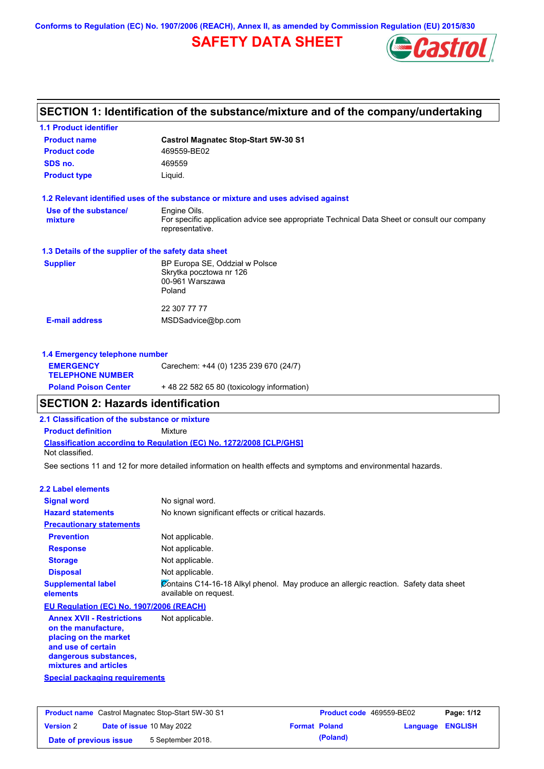**Conforms to Regulation (EC) No. 1907/2006 (REACH), Annex II, as amended by Commission Regulation (EU) 2015/830**

# **SAFETY DATA SHEET**



# **SECTION 1: Identification of the substance/mixture and of the company/undertaking**

| <b>1.1 Product identifier</b>                        |                                                                                                                |
|------------------------------------------------------|----------------------------------------------------------------------------------------------------------------|
| <b>Product name</b>                                  | <b>Castrol Magnatec Stop-Start 5W-30 S1</b>                                                                    |
| <b>Product code</b>                                  | 469559-BE02                                                                                                    |
| SDS no.                                              | 469559                                                                                                         |
| <b>Product type</b>                                  | Liquid.                                                                                                        |
|                                                      | 1.2 Relevant identified uses of the substance or mixture and uses advised against                              |
| Use of the substance/                                | Engine Oils.                                                                                                   |
| mixture                                              | For specific application advice see appropriate Technical Data Sheet or consult our company<br>representative. |
| 1.3 Details of the supplier of the safety data sheet |                                                                                                                |
| <b>Supplier</b>                                      | BP Europa SE, Oddział w Polsce<br>Skrytka pocztowa nr 126<br>00-961 Warszawa<br>Poland                         |
|                                                      | 22 307 77 77                                                                                                   |
| <b>E-mail address</b>                                | MSDSadvice@bp.com                                                                                              |
| 1.4 Emergency telephone number                       |                                                                                                                |
| <b>EMERGENCY</b><br><b>TELEPHONE NUMBER</b>          | Carechem: +44 (0) 1235 239 670 (24/7)                                                                          |
| <b>Poland Poison Center</b>                          | +48 22 582 65 80 (toxicology information)                                                                      |

## **SECTION 2: Hazards identification**

**2.1 Classification of the substance or mixture**

**Product definition** Mixture

**Classification according to Regulation (EC) No. 1272/2008 [CLP/GHS]** Not classified.

See sections 11 and 12 for more detailed information on health effects and symptoms and environmental hazards.

### **2.2 Label elements**

| <b>Signal word</b>                                                                                     | No signal word.                                                                                               |
|--------------------------------------------------------------------------------------------------------|---------------------------------------------------------------------------------------------------------------|
| <b>Hazard statements</b>                                                                               | No known significant effects or critical hazards.                                                             |
| <b>Precautionary statements</b>                                                                        |                                                                                                               |
| <b>Prevention</b>                                                                                      | Not applicable.                                                                                               |
| <b>Response</b>                                                                                        | Not applicable.                                                                                               |
| <b>Storage</b>                                                                                         | Not applicable.                                                                                               |
| <b>Disposal</b>                                                                                        | Not applicable.                                                                                               |
| <b>Supplemental label</b><br>elements                                                                  | Contains C14-16-18 Alkyl phenol. May produce an allergic reaction. Safety data sheet<br>available on request. |
| EU Regulation (EC) No. 1907/2006 (REACH)                                                               |                                                                                                               |
| <b>Annex XVII - Restrictions</b><br>on the manufacture,<br>placing on the market<br>and use of certain | Not applicable.                                                                                               |

**and use of certain dangerous substances, mixtures and articles**

**Special packaging requirements**

| <b>Product name</b> Castrol Magnatec Stop-Start 5W-30 S1 |  |                                  | <b>Product code</b> 469559-BE02 |                      | Page: 1/12              |  |
|----------------------------------------------------------|--|----------------------------------|---------------------------------|----------------------|-------------------------|--|
| <b>Version 2</b>                                         |  | <b>Date of issue 10 May 2022</b> |                                 | <b>Format Poland</b> | <b>Language ENGLISH</b> |  |
| Date of previous issue                                   |  | 5 September 2018.                |                                 | (Poland)             |                         |  |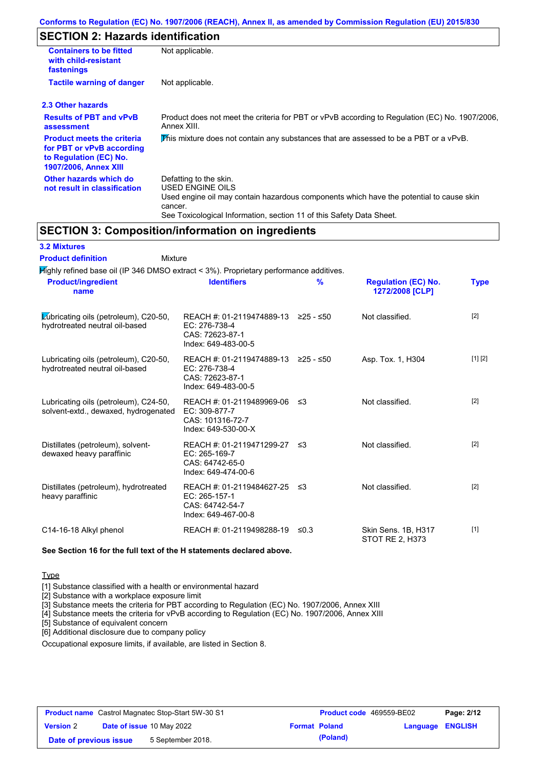## **SECTION 2: Hazards identification**

| <b>Containers to be fitted</b><br>with child-resistant<br>fastenings                                                     | Not applicable.                                                                                                                                                                                                          |
|--------------------------------------------------------------------------------------------------------------------------|--------------------------------------------------------------------------------------------------------------------------------------------------------------------------------------------------------------------------|
| <b>Tactile warning of danger</b>                                                                                         | Not applicable.                                                                                                                                                                                                          |
| 2.3 Other hazards                                                                                                        |                                                                                                                                                                                                                          |
| <b>Results of PBT and vPvB</b><br>assessment                                                                             | Product does not meet the criteria for PBT or vPvB according to Regulation (EC) No. 1907/2006,<br>Annex XIII.                                                                                                            |
| <b>Product meets the criteria</b><br>for PBT or vPvB according<br>to Regulation (EC) No.<br><b>1907/2006, Annex XIII</b> | This mixture does not contain any substances that are assessed to be a PBT or a vPvB.                                                                                                                                    |
| Other hazards which do<br>not result in classification                                                                   | Defatting to the skin.<br>USED ENGINE OILS<br>Used engine oil may contain hazardous components which have the potential to cause skin<br>cancer.<br>See Toxicological Information, section 11 of this Safety Data Sheet. |

## **SECTION 3: Composition/information on ingredients**

| <b>3.2 Mixtures</b> |  |
|---------------------|--|
|---------------------|--|

| <b>Product definition</b><br>Mixture                                                                                        |                                                                                                |               |                                                      |             |
|-----------------------------------------------------------------------------------------------------------------------------|------------------------------------------------------------------------------------------------|---------------|------------------------------------------------------|-------------|
| Mighly refined base oil (IP 346 DMSO extract < 3%). Proprietary performance additives.<br><b>Product/ingredient</b><br>name | <b>Identifiers</b>                                                                             | $\frac{9}{6}$ | <b>Regulation (EC) No.</b><br><b>1272/2008 [CLP]</b> | <b>Type</b> |
| Lubricating oils (petroleum), C20-50,<br>hydrotreated neutral oil-based                                                     | REACH #: 01-2119474889-13<br>EC: 276-738-4<br>CAS: 72623-87-1<br>Index: 649-483-00-5           | $≥25 - ≤50$   | Not classified.                                      | $[2]$       |
| Lubricating oils (petroleum), C20-50,<br>hydrotreated neutral oil-based                                                     | REACH #: 01-2119474889-13 ≥25 - ≤50<br>EC: 276-738-4<br>CAS: 72623-87-1<br>Index: 649-483-00-5 |               | Asp. Tox. 1, H304                                    | [1] [2]     |
| Lubricating oils (petroleum), C24-50,<br>solvent-extd., dewaxed, hydrogenated                                               | REACH #: 01-2119489969-06<br>EC: 309-877-7<br>CAS: 101316-72-7<br>Index: 649-530-00-X          | ึ ≤3          | Not classified.                                      | $[2]$       |
| Distillates (petroleum), solvent-<br>dewaxed heavy paraffinic                                                               | REACH #: 01-2119471299-27<br>EC: 265-169-7<br>CAS: 64742-65-0<br>Index: 649-474-00-6           | ≤3            | Not classified.                                      | $[2]$       |
| Distillates (petroleum), hydrotreated<br>heavy paraffinic                                                                   | REACH #: 01-2119484627-25<br>EC: 265-157-1<br>CAS: 64742-54-7<br>Index: 649-467-00-8           | ึ ≤3          | Not classified.                                      | $[2]$       |
| C14-16-18 Alkyl phenol                                                                                                      | REACH #: 01-2119498288-19                                                                      | ≤0.3          | Skin Sens. 1B, H317<br><b>STOT RE 2, H373</b>        | $[1]$       |

### **See Section 16 for the full text of the H statements declared above.**

**Type** 

[1] Substance classified with a health or environmental hazard

[2] Substance with a workplace exposure limit

[3] Substance meets the criteria for PBT according to Regulation (EC) No. 1907/2006, Annex XIII

[4] Substance meets the criteria for vPvB according to Regulation (EC) No. 1907/2006, Annex XIII

[5] Substance of equivalent concern

[6] Additional disclosure due to company policy

Occupational exposure limits, if available, are listed in Section 8.

| <b>Product name</b> Castrol Magnatec Stop-Start 5W-30 S1 |  |                                  | Product code 469559-BE02 |                      | Page: 2/12       |  |
|----------------------------------------------------------|--|----------------------------------|--------------------------|----------------------|------------------|--|
| <b>Version 2</b>                                         |  | <b>Date of issue 10 May 2022</b> |                          | <b>Format Poland</b> | Language ENGLISH |  |
| Date of previous issue                                   |  | 5 September 2018.                |                          | (Poland)             |                  |  |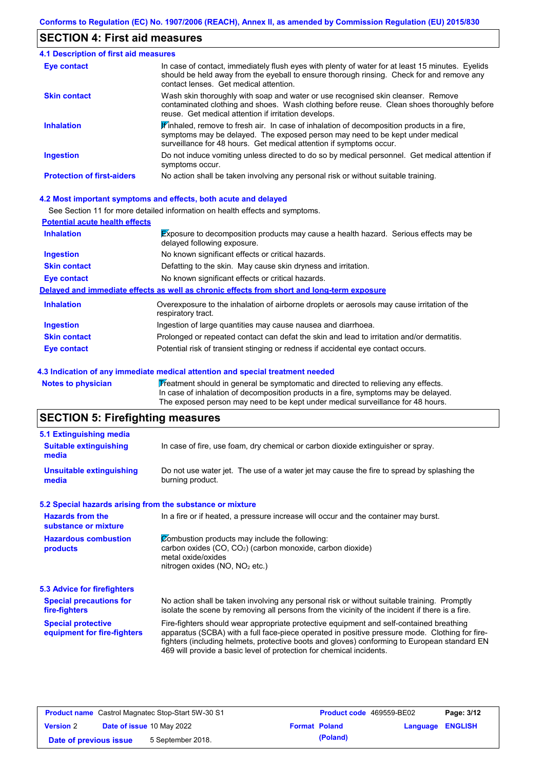## **SECTION 4: First aid measures**

| 4.1 Description of first aid measures |                                                                                                                                                                                                                                                              |
|---------------------------------------|--------------------------------------------------------------------------------------------------------------------------------------------------------------------------------------------------------------------------------------------------------------|
| <b>Eye contact</b>                    | In case of contact, immediately flush eyes with plenty of water for at least 15 minutes. Eyelids<br>should be held away from the eyeball to ensure thorough rinsing. Check for and remove any<br>contact lenses. Get medical attention.                      |
| <b>Skin contact</b>                   | Wash skin thoroughly with soap and water or use recognised skin cleanser. Remove<br>contaminated clothing and shoes. Wash clothing before reuse. Clean shoes thoroughly before<br>reuse. Get medical attention if irritation develops.                       |
| <b>Inhalation</b>                     | $\mathbf F$ inhaled, remove to fresh air. In case of inhalation of decomposition products in a fire,<br>symptoms may be delayed. The exposed person may need to be kept under medical<br>surveillance for 48 hours. Get medical attention if symptoms occur. |
| <b>Ingestion</b>                      | Do not induce vomiting unless directed to do so by medical personnel. Get medical attention if<br>symptoms occur.                                                                                                                                            |
| <b>Protection of first-aiders</b>     | No action shall be taken involving any personal risk or without suitable training.                                                                                                                                                                           |

### **4.2 Most important symptoms and effects, both acute and delayed**

See Section 11 for more detailed information on health effects and symptoms.

| <b>Potential acute health effects</b> |                                                                                                                            |
|---------------------------------------|----------------------------------------------------------------------------------------------------------------------------|
| <b>Inhalation</b>                     | <b>Exposure to decomposition products may cause a health hazard. Serious effects may be</b><br>delayed following exposure. |
| <b>Ingestion</b>                      | No known significant effects or critical hazards.                                                                          |
| <b>Skin contact</b>                   | Defatting to the skin. May cause skin dryness and irritation.                                                              |
| Eye contact                           | No known significant effects or critical hazards.                                                                          |
|                                       | Delayed and immediate effects as well as chronic effects from short and long-term exposure                                 |
| <b>Inhalation</b>                     | Overexposure to the inhalation of airborne droplets or aerosols may cause irritation of the<br>respiratory tract.          |
| <b>Ingestion</b>                      | Ingestion of large quantities may cause nausea and diarrhoea.                                                              |
| <b>Skin contact</b>                   | Prolonged or repeated contact can defat the skin and lead to irritation and/or dermatitis.                                 |
| Eye contact                           | Potential risk of transient stinging or redness if accidental eye contact occurs.                                          |

### **4.3 Indication of any immediate medical attention and special treatment needed**

Notes to physician **Treatment should in general be symptomatic and directed to relieving any effects.** In case of inhalation of decomposition products in a fire, symptoms may be delayed. The exposed person may need to be kept under medical surveillance for 48 hours.

# **SECTION 5: Firefighting measures**

| 5.1 Extinguishing media                                   |                                                                                                                                                                                                                                                                                                                                                                   |  |  |
|-----------------------------------------------------------|-------------------------------------------------------------------------------------------------------------------------------------------------------------------------------------------------------------------------------------------------------------------------------------------------------------------------------------------------------------------|--|--|
| <b>Suitable extinguishing</b><br>media                    | In case of fire, use foam, dry chemical or carbon dioxide extinguisher or spray.                                                                                                                                                                                                                                                                                  |  |  |
| <b>Unsuitable extinguishing</b><br>media                  | Do not use water jet. The use of a water jet may cause the fire to spread by splashing the<br>burning product.                                                                                                                                                                                                                                                    |  |  |
| 5.2 Special hazards arising from the substance or mixture |                                                                                                                                                                                                                                                                                                                                                                   |  |  |
| <b>Hazards from the</b><br>substance or mixture           | In a fire or if heated, a pressure increase will occur and the container may burst.                                                                                                                                                                                                                                                                               |  |  |
| <b>Hazardous combustion</b><br>products                   | Combustion products may include the following:<br>carbon oxides (CO, CO <sub>2</sub> ) (carbon monoxide, carbon dioxide)<br>metal oxide/oxides<br>nitrogen oxides (NO, NO <sub>2</sub> etc.)                                                                                                                                                                      |  |  |
| 5.3 Advice for firefighters                               |                                                                                                                                                                                                                                                                                                                                                                   |  |  |
| <b>Special precautions for</b><br>fire-fighters           | No action shall be taken involving any personal risk or without suitable training. Promptly<br>isolate the scene by removing all persons from the vicinity of the incident if there is a fire.                                                                                                                                                                    |  |  |
| <b>Special protective</b><br>equipment for fire-fighters  | Fire-fighters should wear appropriate protective equipment and self-contained breathing<br>apparatus (SCBA) with a full face-piece operated in positive pressure mode. Clothing for fire-<br>fighters (including helmets, protective boots and gloves) conforming to European standard EN<br>469 will provide a basic level of protection for chemical incidents. |  |  |

| <b>Product name</b> Castrol Magnatec Stop-Start 5W-30 S1 |  | <b>Product code</b> 469559-BE02  |  | Page: 3/12           |                         |  |
|----------------------------------------------------------|--|----------------------------------|--|----------------------|-------------------------|--|
| <b>Version 2</b>                                         |  | <b>Date of issue 10 May 2022</b> |  | <b>Format Poland</b> | <b>Language ENGLISH</b> |  |
| Date of previous issue                                   |  | 5 September 2018.                |  | (Poland)             |                         |  |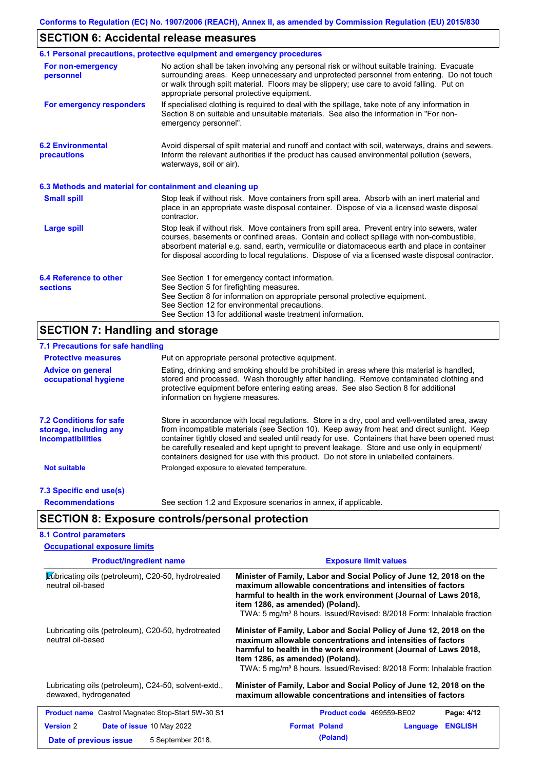# **SECTION 6: Accidental release measures**

|                                                          | 6.1 Personal precautions, protective equipment and emergency procedures                                                                                                                                                                                                                                                                                                                        |
|----------------------------------------------------------|------------------------------------------------------------------------------------------------------------------------------------------------------------------------------------------------------------------------------------------------------------------------------------------------------------------------------------------------------------------------------------------------|
| For non-emergency<br>personnel                           | No action shall be taken involving any personal risk or without suitable training. Evacuate<br>surrounding areas. Keep unnecessary and unprotected personnel from entering. Do not touch<br>or walk through spilt material. Floors may be slippery; use care to avoid falling. Put on<br>appropriate personal protective equipment.                                                            |
| For emergency responders                                 | If specialised clothing is required to deal with the spillage, take note of any information in<br>Section 8 on suitable and unsuitable materials. See also the information in "For non-<br>emergency personnel".                                                                                                                                                                               |
| <b>6.2 Environmental</b><br>precautions                  | Avoid dispersal of spilt material and runoff and contact with soil, waterways, drains and sewers.<br>Inform the relevant authorities if the product has caused environmental pollution (sewers,<br>waterways, soil or air).                                                                                                                                                                    |
| 6.3 Methods and material for containment and cleaning up |                                                                                                                                                                                                                                                                                                                                                                                                |
| <b>Small spill</b>                                       | Stop leak if without risk. Move containers from spill area. Absorb with an inert material and<br>place in an appropriate waste disposal container. Dispose of via a licensed waste disposal<br>contractor.                                                                                                                                                                                     |
| <b>Large spill</b>                                       | Stop leak if without risk. Move containers from spill area. Prevent entry into sewers, water<br>courses, basements or confined areas. Contain and collect spillage with non-combustible,<br>absorbent material e.g. sand, earth, vermiculite or diatomaceous earth and place in container<br>for disposal according to local regulations. Dispose of via a licensed waste disposal contractor. |
| 6.4 Reference to other<br><b>sections</b>                | See Section 1 for emergency contact information.<br>See Section 5 for firefighting measures.<br>See Section 8 for information on appropriate personal protective equipment.<br>See Section 12 for environmental precautions.<br>See Section 13 for additional waste treatment information.                                                                                                     |

# **SECTION 7: Handling and storage**

| 7.1 Precautions for safe handling                                                    |                                                                                                                                                                                                                                                                                                                                                                                                                                                                                          |  |  |  |  |  |  |
|--------------------------------------------------------------------------------------|------------------------------------------------------------------------------------------------------------------------------------------------------------------------------------------------------------------------------------------------------------------------------------------------------------------------------------------------------------------------------------------------------------------------------------------------------------------------------------------|--|--|--|--|--|--|
| <b>Protective measures</b>                                                           | Put on appropriate personal protective equipment.                                                                                                                                                                                                                                                                                                                                                                                                                                        |  |  |  |  |  |  |
| <b>Advice on general</b><br>occupational hygiene                                     | Eating, drinking and smoking should be prohibited in areas where this material is handled,<br>stored and processed. Wash thoroughly after handling. Remove contaminated clothing and<br>protective equipment before entering eating areas. See also Section 8 for additional<br>information on hygiene measures.                                                                                                                                                                         |  |  |  |  |  |  |
| <b>7.2 Conditions for safe</b><br>storage, including any<br><i>incompatibilities</i> | Store in accordance with local regulations. Store in a dry, cool and well-ventilated area, away<br>from incompatible materials (see Section 10). Keep away from heat and direct sunlight. Keep<br>container tightly closed and sealed until ready for use. Containers that have been opened must<br>be carefully resealed and kept upright to prevent leakage. Store and use only in equipment/<br>containers designed for use with this product. Do not store in unlabelled containers. |  |  |  |  |  |  |
| <b>Not suitable</b>                                                                  | Prolonged exposure to elevated temperature.                                                                                                                                                                                                                                                                                                                                                                                                                                              |  |  |  |  |  |  |
| 7.3 Specific end use(s)                                                              |                                                                                                                                                                                                                                                                                                                                                                                                                                                                                          |  |  |  |  |  |  |
| <b>Recommendations</b>                                                               | See section 1.2 and Exposure scenarios in annex, if applicable.                                                                                                                                                                                                                                                                                                                                                                                                                          |  |  |  |  |  |  |
|                                                                                      | <b>SECTION 8: Exposure controls/personal protection</b>                                                                                                                                                                                                                                                                                                                                                                                                                                  |  |  |  |  |  |  |
| <b>8.1 Control parameters</b>                                                        |                                                                                                                                                                                                                                                                                                                                                                                                                                                                                          |  |  |  |  |  |  |
| <b>Occupational exposure limits</b>                                                  |                                                                                                                                                                                                                                                                                                                                                                                                                                                                                          |  |  |  |  |  |  |

| <b>Product/ingredient name</b>                                                                      | <b>Exposure limit values</b>                                                                                                                                                                                                                                                                                                    |
|-----------------------------------------------------------------------------------------------------|---------------------------------------------------------------------------------------------------------------------------------------------------------------------------------------------------------------------------------------------------------------------------------------------------------------------------------|
| Lubricating oils (petroleum), C20-50, hydrotreated<br>neutral oil-based                             | Minister of Family, Labor and Social Policy of June 12, 2018 on the<br>maximum allowable concentrations and intensities of factors<br>harmful to health in the work environment (Journal of Laws 2018,<br>item 1286, as amended) (Poland).<br>TWA: 5 mg/m <sup>3</sup> 8 hours. Issued/Revised: 8/2018 Form: Inhalable fraction |
| Lubricating oils (petroleum), C20-50, hydrotreated<br>neutral oil-based                             | Minister of Family, Labor and Social Policy of June 12, 2018 on the<br>maximum allowable concentrations and intensities of factors<br>harmful to health in the work environment (Journal of Laws 2018,<br>item 1286, as amended) (Poland).<br>TWA: 5 mg/m <sup>3</sup> 8 hours. Issued/Revised: 8/2018 Form: Inhalable fraction |
| Lubricating oils (petroleum), C24-50, solvent-extd.,<br>dewaxed, hydrogenated                       | Minister of Family, Labor and Social Policy of June 12, 2018 on the<br>maximum allowable concentrations and intensities of factors                                                                                                                                                                                              |
| <b>Product name</b> Castrol Magnatec Stop-Start 5W-30 S1                                            | Product code 469559-BE02<br>Page: 4/12                                                                                                                                                                                                                                                                                          |
| <b>Version 2</b><br><b>Date of issue 10 May 2022</b><br>5 September 2018.<br>Date of previous issue | <b>Format Poland</b><br><b>ENGLISH</b><br>Language<br>(Poland)                                                                                                                                                                                                                                                                  |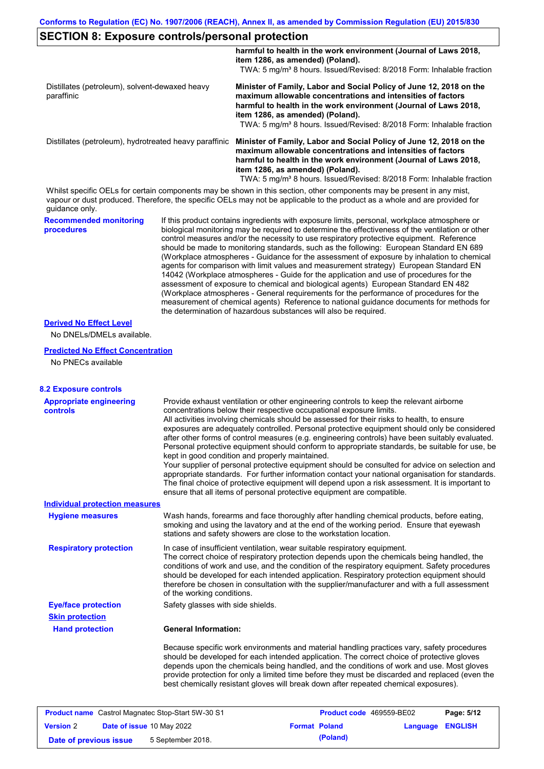## **SECTION 8: Exposure controls/personal protection**

|                                                              | harmful to health in the work environment (Journal of Laws 2018,<br>item 1286, as amended) (Poland).                                                                                                                                                                                                                            |
|--------------------------------------------------------------|---------------------------------------------------------------------------------------------------------------------------------------------------------------------------------------------------------------------------------------------------------------------------------------------------------------------------------|
|                                                              | TWA: 5 mg/m <sup>3</sup> 8 hours. Issued/Revised: 8/2018 Form: Inhalable fraction                                                                                                                                                                                                                                               |
| Distillates (petroleum), solvent-dewaxed heavy<br>paraffinic | Minister of Family, Labor and Social Policy of June 12, 2018 on the<br>maximum allowable concentrations and intensities of factors<br>harmful to health in the work environment (Journal of Laws 2018,<br>item 1286, as amended) (Poland).<br>TWA: 5 mg/m <sup>3</sup> 8 hours. Issued/Revised: 8/2018 Form: Inhalable fraction |
| Distillates (petroleum), hydrotreated heavy paraffinic       | Minister of Family, Labor and Social Policy of June 12, 2018 on the<br>maximum allowable concentrations and intensities of factors<br>harmful to health in the work environment (Journal of Laws 2018,<br>item 1286, as amended) (Poland).<br>TWA: 5 mg/m <sup>3</sup> 8 hours. Issued/Revised: 8/2018 Form: Inhalable fraction |

Whilst specific OELs for certain components may be shown in this section, other components may be present in any mist, vapour or dust produced. Therefore, the specific OELs may not be applicable to the product as a whole and are provided for guidance only.

**Recommended monitoring procedures**

If this product contains ingredients with exposure limits, personal, workplace atmosphere or biological monitoring may be required to determine the effectiveness of the ventilation or other control measures and/or the necessity to use respiratory protective equipment. Reference should be made to monitoring standards, such as the following: European Standard EN 689 (Workplace atmospheres - Guidance for the assessment of exposure by inhalation to chemical agents for comparison with limit values and measurement strategy) European Standard EN 14042 (Workplace atmospheres - Guide for the application and use of procedures for the assessment of exposure to chemical and biological agents) European Standard EN 482 (Workplace atmospheres - General requirements for the performance of procedures for the measurement of chemical agents) Reference to national guidance documents for methods for the determination of hazardous substances will also be required.

## **Derived No Effect Level**

No DNELs/DMELs available.

#### **Predicted No Effect Concentration**

No PNECs available

| <b>8.2 Exposure controls</b>                             |                                                                                                                                                                                                                                                                                                                                                                                                                                                                                                                                                                                                                                                                                                                                                                                                                                                                                                                                                                                                         |
|----------------------------------------------------------|---------------------------------------------------------------------------------------------------------------------------------------------------------------------------------------------------------------------------------------------------------------------------------------------------------------------------------------------------------------------------------------------------------------------------------------------------------------------------------------------------------------------------------------------------------------------------------------------------------------------------------------------------------------------------------------------------------------------------------------------------------------------------------------------------------------------------------------------------------------------------------------------------------------------------------------------------------------------------------------------------------|
| <b>Appropriate engineering</b><br><b>controls</b>        | Provide exhaust ventilation or other engineering controls to keep the relevant airborne<br>concentrations below their respective occupational exposure limits.<br>All activities involving chemicals should be assessed for their risks to health, to ensure<br>exposures are adequately controlled. Personal protective equipment should only be considered<br>after other forms of control measures (e.g. engineering controls) have been suitably evaluated.<br>Personal protective equipment should conform to appropriate standards, be suitable for use, be<br>kept in good condition and properly maintained.<br>Your supplier of personal protective equipment should be consulted for advice on selection and<br>appropriate standards. For further information contact your national organisation for standards.<br>The final choice of protective equipment will depend upon a risk assessment. It is important to<br>ensure that all items of personal protective equipment are compatible. |
| <b>Individual protection measures</b>                    |                                                                                                                                                                                                                                                                                                                                                                                                                                                                                                                                                                                                                                                                                                                                                                                                                                                                                                                                                                                                         |
| <b>Hygiene measures</b>                                  | Wash hands, forearms and face thoroughly after handling chemical products, before eating,<br>smoking and using the lavatory and at the end of the working period. Ensure that eyewash<br>stations and safety showers are close to the workstation location.                                                                                                                                                                                                                                                                                                                                                                                                                                                                                                                                                                                                                                                                                                                                             |
| <b>Respiratory protection</b>                            | In case of insufficient ventilation, wear suitable respiratory equipment.<br>The correct choice of respiratory protection depends upon the chemicals being handled, the<br>conditions of work and use, and the condition of the respiratory equipment. Safety procedures<br>should be developed for each intended application. Respiratory protection equipment should<br>therefore be chosen in consultation with the supplier/manufacturer and with a full assessment<br>of the working conditions.                                                                                                                                                                                                                                                                                                                                                                                                                                                                                                   |
| <b>Eye/face protection</b>                               | Safety glasses with side shields.                                                                                                                                                                                                                                                                                                                                                                                                                                                                                                                                                                                                                                                                                                                                                                                                                                                                                                                                                                       |
| <b>Skin protection</b>                                   |                                                                                                                                                                                                                                                                                                                                                                                                                                                                                                                                                                                                                                                                                                                                                                                                                                                                                                                                                                                                         |
| <b>Hand protection</b>                                   | <b>General Information:</b>                                                                                                                                                                                                                                                                                                                                                                                                                                                                                                                                                                                                                                                                                                                                                                                                                                                                                                                                                                             |
|                                                          | Because specific work environments and material handling practices vary, safety procedures<br>should be developed for each intended application. The correct choice of protective gloves<br>depends upon the chemicals being handled, and the conditions of work and use. Most gloves<br>provide protection for only a limited time before they must be discarded and replaced (even the<br>best chemically resistant gloves will break down after repeated chemical exposures).                                                                                                                                                                                                                                                                                                                                                                                                                                                                                                                        |
| <b>Product name</b> Castrol Magnatec Stop-Start 5W-30 S1 | Page: 5/12<br>Product code 469559-BE02                                                                                                                                                                                                                                                                                                                                                                                                                                                                                                                                                                                                                                                                                                                                                                                                                                                                                                                                                                  |

| <b>Version 2</b>       | <b>Date of issue 10 May 2022</b> |                   | <b>Format Poland</b> |          | <b>Language ENGLISH</b> |  |
|------------------------|----------------------------------|-------------------|----------------------|----------|-------------------------|--|
| Date of previous issue |                                  | 5 September 2018. |                      | (Poland) |                         |  |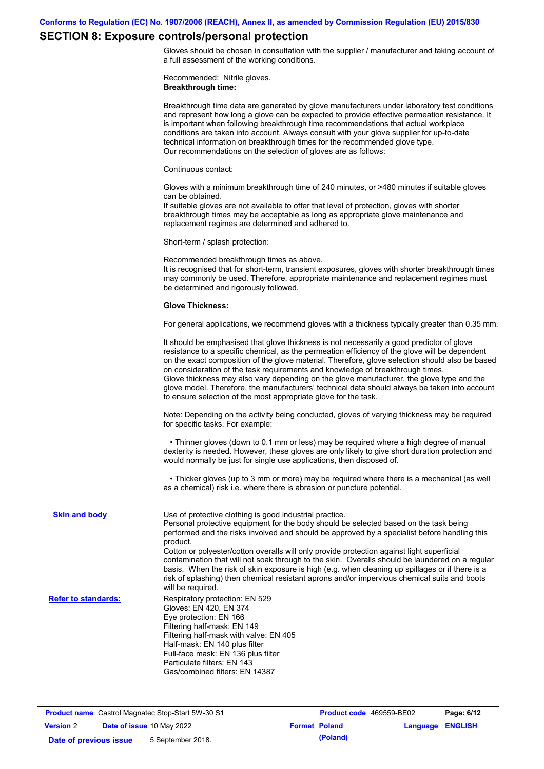# **SECTION 8: Exposure controls/personal protection**

Gloves should be chosen in consultation with the supplier / manufacturer and taking account of a full assessment of the working conditions.

Recommended: Nitrile gloves. **Breakthrough time:**

|                            | Breakthrough time data are generated by glove manufacturers under laboratory test conditions<br>and represent how long a glove can be expected to provide effective permeation resistance. It<br>is important when following breakthrough time recommendations that actual workplace<br>conditions are taken into account. Always consult with your glove supplier for up-to-date<br>technical information on breakthrough times for the recommended glove type.<br>Our recommendations on the selection of gloves are as follows:                                                                                                                               |
|----------------------------|------------------------------------------------------------------------------------------------------------------------------------------------------------------------------------------------------------------------------------------------------------------------------------------------------------------------------------------------------------------------------------------------------------------------------------------------------------------------------------------------------------------------------------------------------------------------------------------------------------------------------------------------------------------|
|                            | Continuous contact:                                                                                                                                                                                                                                                                                                                                                                                                                                                                                                                                                                                                                                              |
|                            | Gloves with a minimum breakthrough time of 240 minutes, or >480 minutes if suitable gloves<br>can be obtained.<br>If suitable gloves are not available to offer that level of protection, gloves with shorter<br>breakthrough times may be acceptable as long as appropriate glove maintenance and<br>replacement regimes are determined and adhered to.                                                                                                                                                                                                                                                                                                         |
|                            | Short-term / splash protection:                                                                                                                                                                                                                                                                                                                                                                                                                                                                                                                                                                                                                                  |
|                            | Recommended breakthrough times as above.<br>It is recognised that for short-term, transient exposures, gloves with shorter breakthrough times<br>may commonly be used. Therefore, appropriate maintenance and replacement regimes must<br>be determined and rigorously followed.                                                                                                                                                                                                                                                                                                                                                                                 |
|                            | <b>Glove Thickness:</b>                                                                                                                                                                                                                                                                                                                                                                                                                                                                                                                                                                                                                                          |
|                            | For general applications, we recommend gloves with a thickness typically greater than 0.35 mm.                                                                                                                                                                                                                                                                                                                                                                                                                                                                                                                                                                   |
|                            | It should be emphasised that glove thickness is not necessarily a good predictor of glove<br>resistance to a specific chemical, as the permeation efficiency of the glove will be dependent<br>on the exact composition of the glove material. Therefore, glove selection should also be based<br>on consideration of the task requirements and knowledge of breakthrough times.<br>Glove thickness may also vary depending on the glove manufacturer, the glove type and the<br>glove model. Therefore, the manufacturers' technical data should always be taken into account<br>to ensure selection of the most appropriate glove for the task.                |
|                            | Note: Depending on the activity being conducted, gloves of varying thickness may be required<br>for specific tasks. For example:                                                                                                                                                                                                                                                                                                                                                                                                                                                                                                                                 |
|                            | • Thinner gloves (down to 0.1 mm or less) may be required where a high degree of manual<br>dexterity is needed. However, these gloves are only likely to give short duration protection and<br>would normally be just for single use applications, then disposed of.                                                                                                                                                                                                                                                                                                                                                                                             |
|                            | • Thicker gloves (up to 3 mm or more) may be required where there is a mechanical (as well<br>as a chemical) risk i.e. where there is abrasion or puncture potential.                                                                                                                                                                                                                                                                                                                                                                                                                                                                                            |
| <b>Skin and body</b>       | Use of protective clothing is good industrial practice.<br>Personal protective equipment for the body should be selected based on the task being<br>performed and the risks involved and should be approved by a specialist before handling this<br>product.<br>Cotton or polyester/cotton overalls will only provide protection against light superficial<br>contamination that will not soak through to the skin. Overalls should be laundered on a regular<br>basis. When the risk of skin exposure is high (e.g. when cleaning up spillages or if there is a<br>risk of splashing) then chemical resistant aprons and/or impervious chemical suits and boots |
| <b>Refer to standards:</b> | will be required.<br>Respiratory protection: EN 529<br>Gloves: EN 420, EN 374<br>Eye protection: EN 166<br>Filtering half-mask: EN 149<br>Filtering half-mask with valve: EN 405<br>Half-mask: EN 140 plus filter<br>Full-face mask: EN 136 plus filter<br>Particulate filters: EN 143<br>Gas/combined filters: EN 14387                                                                                                                                                                                                                                                                                                                                         |

|                        | <b>Product name</b> Castrol Magnatec Stop-Start 5W-30 S1 | <b>Product code</b> 469559-BE02 |                  | Page: 6/12 |
|------------------------|----------------------------------------------------------|---------------------------------|------------------|------------|
| <b>Version 2</b>       | <b>Date of issue 10 May 2022</b>                         | <b>Format Poland</b>            | Language ENGLISH |            |
| Date of previous issue | 5 September 2018.                                        | (Poland)                        |                  |            |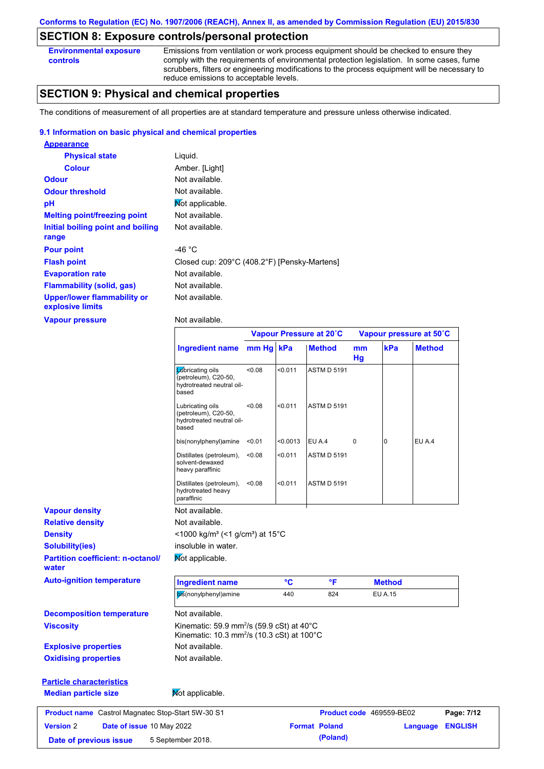## **SECTION 8: Exposure controls/personal protection**

**Environmental exposure controls**

**Version** 2

Emissions from ventilation or work process equipment should be checked to ensure they comply with the requirements of environmental protection legislation. In some cases, fume scrubbers, filters or engineering modifications to the process equipment will be necessary to reduce emissions to acceptable levels.

## **SECTION 9: Physical and chemical properties**

The conditions of measurement of all properties are at standard temperature and pressure unless otherwise indicated.

### **9.1 Information on basic physical and chemical properties**

| <b>Appearance</b>                                      |                                              |
|--------------------------------------------------------|----------------------------------------------|
| <b>Physical state</b>                                  | Liquid.                                      |
| <b>Colour</b>                                          | Amber. [Light]                               |
| <b>Odour</b>                                           | Not available.                               |
| <b>Odour threshold</b>                                 | Not available.                               |
| рH                                                     | Mot applicable.                              |
| <b>Melting point/freezing point</b>                    | Not available.                               |
| Initial boiling point and boiling<br>range             | Not available.                               |
|                                                        |                                              |
| <b>Pour point</b>                                      | -46 $^{\circ}$ C                             |
| <b>Flash point</b>                                     | Closed cup: 209°C (408.2°F) [Pensky-Martens] |
| <b>Evaporation rate</b>                                | Not available.                               |
| <b>Flammability (solid, gas)</b>                       | Not available.                               |
| <b>Upper/lower flammability or</b><br>explosive limits | Not available.                               |
| <b>Vapour pressure</b>                                 | Not available.                               |

|                                                   |                                                                                                                           |           |                 | Vapour Pressure at 20°C | Vapour pressure at 50°C |                                 |               |
|---------------------------------------------------|---------------------------------------------------------------------------------------------------------------------------|-----------|-----------------|-------------------------|-------------------------|---------------------------------|---------------|
|                                                   | <b>Ingredient name</b>                                                                                                    | mm Hg kPa |                 | <b>Method</b>           | mm<br>Hg                | kPa                             | <b>Method</b> |
|                                                   | Lubricating oils<br>(petroleum), C20-50,<br>hydrotreated neutral oil-<br>based                                            | < 0.08    | < 0.011         | <b>ASTM D 5191</b>      |                         |                                 |               |
|                                                   | Lubricating oils<br>(petroleum), C20-50,<br>hydrotreated neutral oil-<br>based                                            | < 0.08    | < 0.011         | <b>ASTM D 5191</b>      |                         |                                 |               |
|                                                   | bis(nonylphenyl)amine                                                                                                     | < 0.01    | < 0.0013        | EU A.4                  | $\Omega$                | 0                               | EU A.4        |
|                                                   | Distillates (petroleum),<br>solvent-dewaxed<br>heavy paraffinic                                                           | < 0.08    | < 0.011         | <b>ASTM D 5191</b>      |                         |                                 |               |
|                                                   | Distillates (petroleum),<br>hydrotreated heavy<br>paraffinic                                                              | <0.08     | < 0.011         | <b>ASTM D 5191</b>      |                         |                                 |               |
| <b>Vapour density</b>                             | Not available.                                                                                                            |           |                 |                         |                         |                                 |               |
| <b>Relative density</b>                           | Not available.                                                                                                            |           |                 |                         |                         |                                 |               |
| <b>Density</b>                                    | <1000 kg/m <sup>3</sup> (<1 g/cm <sup>3</sup> ) at 15°C                                                                   |           |                 |                         |                         |                                 |               |
| <b>Solubility(ies)</b>                            | insoluble in water.                                                                                                       |           |                 |                         |                         |                                 |               |
| <b>Partition coefficient: n-octanol/</b><br>water | Mot applicable.                                                                                                           |           |                 |                         |                         |                                 |               |
| <b>Auto-ignition temperature</b>                  | <b>Ingredient name</b>                                                                                                    |           | $\rm ^{\circ}C$ | °F                      |                         | <b>Method</b>                   |               |
|                                                   | bis(nonylphenyl)amine                                                                                                     |           | 440             | 824                     |                         | <b>EU A.15</b>                  |               |
| <b>Decomposition temperature</b>                  | Not available.                                                                                                            |           |                 |                         |                         |                                 |               |
| <b>Viscosity</b>                                  | Kinematic: 59.9 mm <sup>2</sup> /s (59.9 cSt) at $40^{\circ}$ C<br>Kinematic: 10.3 mm <sup>2</sup> /s (10.3 cSt) at 100°C |           |                 |                         |                         |                                 |               |
| <b>Explosive properties</b>                       | Not available.                                                                                                            |           |                 |                         |                         |                                 |               |
| <b>Oxidising properties</b>                       | Not available.                                                                                                            |           |                 |                         |                         |                                 |               |
| <b>Particle characteristics</b>                   |                                                                                                                           |           |                 |                         |                         |                                 |               |
| <b>Median particle size</b>                       | Mot applicable.                                                                                                           |           |                 |                         |                         |                                 |               |
| Product name Castrol Magnatec Stop-Start 5W-30 S1 |                                                                                                                           |           |                 |                         |                         | <b>Product code</b> 469559-BE02 | Page: 7/12    |

**Date of issue** 10 May 2022 **Format Poland Language ENGLISH**

**Date of previous issue** 5 September 2018. **Conservative September 2018**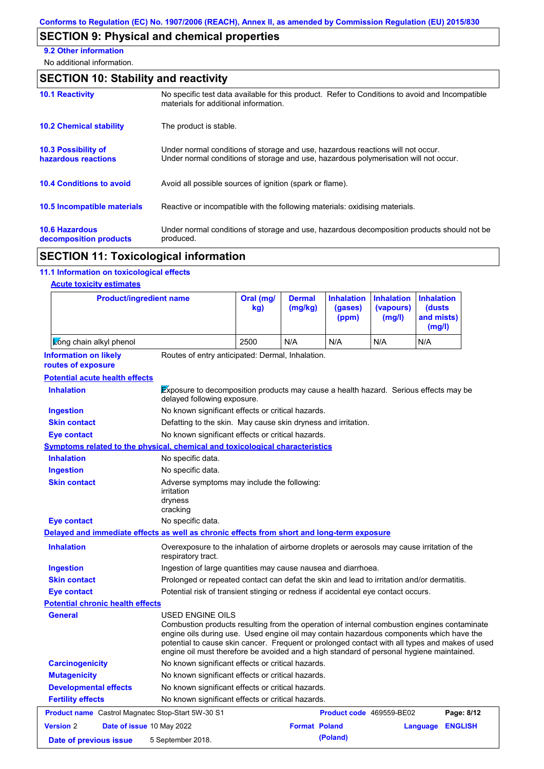# **SECTION 9: Physical and chemical properties**

**9.2 Other information**

No additional information.

| <b>SECTION 10: Stability and reactivity</b>       |                                                                                                                                                                         |  |  |  |
|---------------------------------------------------|-------------------------------------------------------------------------------------------------------------------------------------------------------------------------|--|--|--|
| <b>10.1 Reactivity</b>                            | No specific test data available for this product. Refer to Conditions to avoid and Incompatible<br>materials for additional information.                                |  |  |  |
| <b>10.2 Chemical stability</b>                    | The product is stable.                                                                                                                                                  |  |  |  |
| <b>10.3 Possibility of</b><br>hazardous reactions | Under normal conditions of storage and use, hazardous reactions will not occur.<br>Under normal conditions of storage and use, hazardous polymerisation will not occur. |  |  |  |
| <b>10.4 Conditions to avoid</b>                   | Avoid all possible sources of ignition (spark or flame).                                                                                                                |  |  |  |
| 10.5 Incompatible materials                       | Reactive or incompatible with the following materials: oxidising materials.                                                                                             |  |  |  |
| <b>10.6 Hazardous</b><br>decomposition products   | Under normal conditions of storage and use, hazardous decomposition products should not be<br>produced.                                                                 |  |  |  |

# **SECTION 11: Toxicological information**

## **11.1 Information on toxicological effects**

## **Acute toxicity estimates**

| <b>Product/ingredient name</b>                                                             |                                                                                                                                                                                                                                                                                                                                                                                                                 | Oral (mg/<br>kg)                                                                                                           | <b>Dermal</b><br>(mg/kg) | <b>Inhalation</b><br>(gases)<br>(ppm) | <b>Inhalation</b><br>(vapours)<br>(mg/l) | <b>Inhalation</b><br>(dusts<br>and mists)<br>(mg/l) |                |
|--------------------------------------------------------------------------------------------|-----------------------------------------------------------------------------------------------------------------------------------------------------------------------------------------------------------------------------------------------------------------------------------------------------------------------------------------------------------------------------------------------------------------|----------------------------------------------------------------------------------------------------------------------------|--------------------------|---------------------------------------|------------------------------------------|-----------------------------------------------------|----------------|
| Long chain alkyl phenol                                                                    |                                                                                                                                                                                                                                                                                                                                                                                                                 | 2500                                                                                                                       | N/A                      | N/A                                   | N/A                                      | N/A                                                 |                |
| <b>Information on likely</b><br>routes of exposure                                         | Routes of entry anticipated: Dermal, Inhalation.                                                                                                                                                                                                                                                                                                                                                                |                                                                                                                            |                          |                                       |                                          |                                                     |                |
| <b>Potential acute health effects</b>                                                      |                                                                                                                                                                                                                                                                                                                                                                                                                 |                                                                                                                            |                          |                                       |                                          |                                                     |                |
| <b>Inhalation</b>                                                                          |                                                                                                                                                                                                                                                                                                                                                                                                                 | <b>Exposure to decomposition products may cause a health hazard.</b> Serious effects may be<br>delayed following exposure. |                          |                                       |                                          |                                                     |                |
| <b>Ingestion</b>                                                                           | No known significant effects or critical hazards.                                                                                                                                                                                                                                                                                                                                                               |                                                                                                                            |                          |                                       |                                          |                                                     |                |
| <b>Skin contact</b>                                                                        | Defatting to the skin. May cause skin dryness and irritation.                                                                                                                                                                                                                                                                                                                                                   |                                                                                                                            |                          |                                       |                                          |                                                     |                |
| <b>Eye contact</b>                                                                         | No known significant effects or critical hazards.                                                                                                                                                                                                                                                                                                                                                               |                                                                                                                            |                          |                                       |                                          |                                                     |                |
| Symptoms related to the physical, chemical and toxicological characteristics               |                                                                                                                                                                                                                                                                                                                                                                                                                 |                                                                                                                            |                          |                                       |                                          |                                                     |                |
| <b>Inhalation</b>                                                                          | No specific data.                                                                                                                                                                                                                                                                                                                                                                                               |                                                                                                                            |                          |                                       |                                          |                                                     |                |
| <b>Ingestion</b>                                                                           | No specific data.                                                                                                                                                                                                                                                                                                                                                                                               |                                                                                                                            |                          |                                       |                                          |                                                     |                |
| <b>Skin contact</b>                                                                        | Adverse symptoms may include the following:<br>irritation<br>dryness<br>cracking                                                                                                                                                                                                                                                                                                                                |                                                                                                                            |                          |                                       |                                          |                                                     |                |
| <b>Eye contact</b>                                                                         | No specific data.                                                                                                                                                                                                                                                                                                                                                                                               |                                                                                                                            |                          |                                       |                                          |                                                     |                |
| Delayed and immediate effects as well as chronic effects from short and long-term exposure |                                                                                                                                                                                                                                                                                                                                                                                                                 |                                                                                                                            |                          |                                       |                                          |                                                     |                |
| <b>Inhalation</b>                                                                          | Overexposure to the inhalation of airborne droplets or aerosols may cause irritation of the<br>respiratory tract.                                                                                                                                                                                                                                                                                               |                                                                                                                            |                          |                                       |                                          |                                                     |                |
| <b>Ingestion</b>                                                                           | Ingestion of large quantities may cause nausea and diarrhoea.                                                                                                                                                                                                                                                                                                                                                   |                                                                                                                            |                          |                                       |                                          |                                                     |                |
| <b>Skin contact</b>                                                                        | Prolonged or repeated contact can defat the skin and lead to irritation and/or dermatitis.                                                                                                                                                                                                                                                                                                                      |                                                                                                                            |                          |                                       |                                          |                                                     |                |
| <b>Eye contact</b>                                                                         | Potential risk of transient stinging or redness if accidental eye contact occurs.                                                                                                                                                                                                                                                                                                                               |                                                                                                                            |                          |                                       |                                          |                                                     |                |
| <b>Potential chronic health effects</b>                                                    |                                                                                                                                                                                                                                                                                                                                                                                                                 |                                                                                                                            |                          |                                       |                                          |                                                     |                |
| <b>General</b>                                                                             | <b>USED ENGINE OILS</b><br>Combustion products resulting from the operation of internal combustion engines contaminate<br>engine oils during use. Used engine oil may contain hazardous components which have the<br>potential to cause skin cancer. Frequent or prolonged contact with all types and makes of used<br>engine oil must therefore be avoided and a high standard of personal hygiene maintained. |                                                                                                                            |                          |                                       |                                          |                                                     |                |
| <b>Carcinogenicity</b>                                                                     | No known significant effects or critical hazards.                                                                                                                                                                                                                                                                                                                                                               |                                                                                                                            |                          |                                       |                                          |                                                     |                |
| <b>Mutagenicity</b>                                                                        | No known significant effects or critical hazards.                                                                                                                                                                                                                                                                                                                                                               |                                                                                                                            |                          |                                       |                                          |                                                     |                |
| <b>Developmental effects</b>                                                               | No known significant effects or critical hazards.                                                                                                                                                                                                                                                                                                                                                               |                                                                                                                            |                          |                                       |                                          |                                                     |                |
| <b>Fertility effects</b>                                                                   | No known significant effects or critical hazards.                                                                                                                                                                                                                                                                                                                                                               |                                                                                                                            |                          |                                       |                                          |                                                     |                |
| <b>Product name</b> Castrol Magnatec Stop-Start 5W-30 S1                                   |                                                                                                                                                                                                                                                                                                                                                                                                                 |                                                                                                                            |                          | <b>Product code</b> 469559-BE02       |                                          |                                                     | Page: 8/12     |
| <b>Version 2</b><br>Date of issue 10 May 2022                                              |                                                                                                                                                                                                                                                                                                                                                                                                                 |                                                                                                                            | <b>Format Poland</b>     |                                       |                                          | Language                                            | <b>ENGLISH</b> |
| Date of previous issue                                                                     | 5 September 2018.                                                                                                                                                                                                                                                                                                                                                                                               |                                                                                                                            |                          | (Poland)                              |                                          |                                                     |                |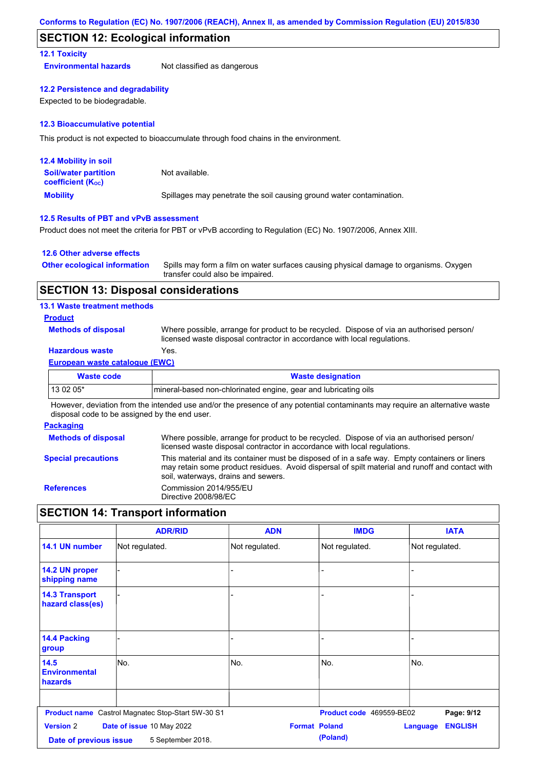## **SECTION 12: Ecological information**

## **12.1 Toxicity**

**Environmental hazards** Not classified as dangerous

#### **12.2 Persistence and degradability**

Expected to be biodegradable.

### **12.3 Bioaccumulative potential**

This product is not expected to bioaccumulate through food chains in the environment.

| <b>12.4 Mobility in soil</b>                                  |                                                                      |
|---------------------------------------------------------------|----------------------------------------------------------------------|
| <b>Soil/water partition</b><br>coefficient (K <sub>oc</sub> ) | Not available.                                                       |
| <b>Mobility</b>                                               | Spillages may penetrate the soil causing ground water contamination. |

## **12.5 Results of PBT and vPvB assessment**

Product does not meet the criteria for PBT or vPvB according to Regulation (EC) No. 1907/2006, Annex XIII.

### **12.6 Other adverse effects**

| <b>Other ecological information</b> | Spills may form a film on water surfaces causing physical damage to organisms. Oxygen |
|-------------------------------------|---------------------------------------------------------------------------------------|
|                                     | transfer could also be impaired.                                                      |

## **SECTION 13: Disposal considerations**

### **13.1 Waste treatment methods**

### **Product**

**Methods of disposal**

Where possible, arrange for product to be recycled. Dispose of via an authorised person/ licensed waste disposal contractor in accordance with local regulations.

## **Hazardous waste** Yes.

### **European waste catalogue (EWC)**

| Waste code | <b>Waste designation</b>                                         |
|------------|------------------------------------------------------------------|
| $130205*$  | Imineral-based non-chlorinated engine, gear and lubricating oils |

However, deviation from the intended use and/or the presence of any potential contaminants may require an alternative waste disposal code to be assigned by the end user.

### **Packaging**

| <b>Methods of disposal</b> | Where possible, arrange for product to be recycled. Dispose of via an authorised person/<br>licensed waste disposal contractor in accordance with local regulations.                                                                    |
|----------------------------|-----------------------------------------------------------------------------------------------------------------------------------------------------------------------------------------------------------------------------------------|
| <b>Special precautions</b> | This material and its container must be disposed of in a safe way. Empty containers or liners<br>may retain some product residues. Avoid dispersal of spilt material and runoff and contact with<br>soil, waterways, drains and sewers. |
| <b>References</b>          | Commission 2014/955/EU<br>Directive 2008/98/EC                                                                                                                                                                                          |

## **SECTION 14: Transport information**

|                                            | <b>ADR/RID</b>                                    | <b>ADN</b>           | <b>IMDG</b>              | <b>IATA</b>                       |
|--------------------------------------------|---------------------------------------------------|----------------------|--------------------------|-----------------------------------|
| 14.1 UN number                             | Not regulated.                                    | Not regulated.       | Not regulated.           | Not regulated.                    |
| 14.2 UN proper<br>shipping name            |                                                   | -                    |                          |                                   |
| <b>14.3 Transport</b><br>hazard class(es)  |                                                   | -                    |                          |                                   |
| <b>14.4 Packing</b><br>group               |                                                   |                      |                          |                                   |
| 14.5<br><b>Environmental</b><br>hazards    | No.                                               | No.                  | No.                      | No.                               |
|                                            | Product name Castrol Magnatec Stop-Start 5W-30 S1 |                      | Product code 469559-BE02 | Page: 9/12                        |
| <b>Version 2</b><br>Date of previous issue | Date of issue 10 May 2022<br>5 September 2018.    | <b>Format Poland</b> | (Poland)                 | <b>ENGLISH</b><br><b>Language</b> |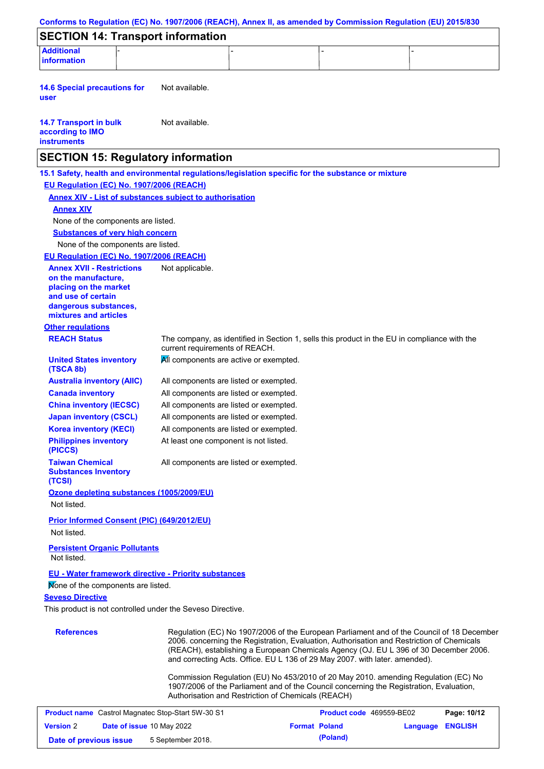| Conforms to Regulation (EC) No. 1907/2006 (REACH), Annex II, as amended by Commission Regulation (EU) 2015/830 |                                        |                                                                                                                                                                                                                                                                                                                                                               |                 |                |
|----------------------------------------------------------------------------------------------------------------|----------------------------------------|---------------------------------------------------------------------------------------------------------------------------------------------------------------------------------------------------------------------------------------------------------------------------------------------------------------------------------------------------------------|-----------------|----------------|
| <b>SECTION 14: Transport information</b>                                                                       |                                        |                                                                                                                                                                                                                                                                                                                                                               |                 |                |
| <b>Additional</b>                                                                                              |                                        |                                                                                                                                                                                                                                                                                                                                                               |                 |                |
| <b>information</b>                                                                                             |                                        |                                                                                                                                                                                                                                                                                                                                                               |                 |                |
| <b>14.6 Special precautions for</b><br>user                                                                    | Not available.                         |                                                                                                                                                                                                                                                                                                                                                               |                 |                |
| <b>14.7 Transport in bulk</b><br>according to IMO<br><b>instruments</b>                                        | Not available.                         |                                                                                                                                                                                                                                                                                                                                                               |                 |                |
| <b>SECTION 15: Regulatory information</b>                                                                      |                                        |                                                                                                                                                                                                                                                                                                                                                               |                 |                |
| 15.1 Safety, health and environmental regulations/legislation specific for the substance or mixture            |                                        |                                                                                                                                                                                                                                                                                                                                                               |                 |                |
| EU Regulation (EC) No. 1907/2006 (REACH)                                                                       |                                        |                                                                                                                                                                                                                                                                                                                                                               |                 |                |
| <b>Annex XIV - List of substances subject to authorisation</b>                                                 |                                        |                                                                                                                                                                                                                                                                                                                                                               |                 |                |
| <b>Annex XIV</b>                                                                                               |                                        |                                                                                                                                                                                                                                                                                                                                                               |                 |                |
| None of the components are listed.                                                                             |                                        |                                                                                                                                                                                                                                                                                                                                                               |                 |                |
| <b>Substances of very high concern</b>                                                                         |                                        |                                                                                                                                                                                                                                                                                                                                                               |                 |                |
| None of the components are listed.                                                                             |                                        |                                                                                                                                                                                                                                                                                                                                                               |                 |                |
| <b>EU Regulation (EC) No. 1907/2006 (REACH)</b>                                                                |                                        |                                                                                                                                                                                                                                                                                                                                                               |                 |                |
| <b>Annex XVII - Restrictions</b><br>on the manufacture,                                                        | Not applicable.                        |                                                                                                                                                                                                                                                                                                                                                               |                 |                |
| placing on the market                                                                                          |                                        |                                                                                                                                                                                                                                                                                                                                                               |                 |                |
| and use of certain                                                                                             |                                        |                                                                                                                                                                                                                                                                                                                                                               |                 |                |
| dangerous substances,<br>mixtures and articles                                                                 |                                        |                                                                                                                                                                                                                                                                                                                                                               |                 |                |
| <b>Other regulations</b>                                                                                       |                                        |                                                                                                                                                                                                                                                                                                                                                               |                 |                |
| <b>REACH Status</b>                                                                                            |                                        | The company, as identified in Section 1, sells this product in the EU in compliance with the                                                                                                                                                                                                                                                                  |                 |                |
|                                                                                                                | current requirements of REACH.         |                                                                                                                                                                                                                                                                                                                                                               |                 |                |
| <b>United States inventory</b><br>(TSCA 8b)                                                                    | All components are active or exempted. |                                                                                                                                                                                                                                                                                                                                                               |                 |                |
| <b>Australia inventory (AIIC)</b>                                                                              | All components are listed or exempted. |                                                                                                                                                                                                                                                                                                                                                               |                 |                |
| <b>Canada inventory</b>                                                                                        | All components are listed or exempted. |                                                                                                                                                                                                                                                                                                                                                               |                 |                |
| <b>China inventory (IECSC)</b>                                                                                 | All components are listed or exempted. |                                                                                                                                                                                                                                                                                                                                                               |                 |                |
| <b>Japan inventory (CSCL)</b>                                                                                  | All components are listed or exempted. |                                                                                                                                                                                                                                                                                                                                                               |                 |                |
| <b>Korea inventory (KECI)</b>                                                                                  | All components are listed or exempted. |                                                                                                                                                                                                                                                                                                                                                               |                 |                |
| <b>Philippines inventory</b><br>(PICCS)                                                                        | At least one component is not listed.  |                                                                                                                                                                                                                                                                                                                                                               |                 |                |
| <b>Taiwan Chemical</b><br><b>Substances Inventory</b><br>(TCSI)                                                | All components are listed or exempted. |                                                                                                                                                                                                                                                                                                                                                               |                 |                |
| Ozone depleting substances (1005/2009/EU)                                                                      |                                        |                                                                                                                                                                                                                                                                                                                                                               |                 |                |
| Not listed.                                                                                                    |                                        |                                                                                                                                                                                                                                                                                                                                                               |                 |                |
| Prior Informed Consent (PIC) (649/2012/EU)                                                                     |                                        |                                                                                                                                                                                                                                                                                                                                                               |                 |                |
| Not listed.                                                                                                    |                                        |                                                                                                                                                                                                                                                                                                                                                               |                 |                |
| <b>Persistent Organic Pollutants</b><br>Not listed.                                                            |                                        |                                                                                                                                                                                                                                                                                                                                                               |                 |                |
| <b>EU - Water framework directive - Priority substances</b><br>Mone of the components are listed.              |                                        |                                                                                                                                                                                                                                                                                                                                                               |                 |                |
| <b>Seveso Directive</b>                                                                                        |                                        |                                                                                                                                                                                                                                                                                                                                                               |                 |                |
| This product is not controlled under the Seveso Directive.                                                     |                                        |                                                                                                                                                                                                                                                                                                                                                               |                 |                |
|                                                                                                                |                                        |                                                                                                                                                                                                                                                                                                                                                               |                 |                |
| <b>References</b>                                                                                              |                                        | Regulation (EC) No 1907/2006 of the European Parliament and of the Council of 18 December<br>2006. concerning the Registration, Evaluation, Authorisation and Restriction of Chemicals<br>(REACH), establishing a European Chemicals Agency (OJ. EU L 396 of 30 December 2006.<br>and correcting Acts. Office. EU L 136 of 29 May 2007. with later. amended). |                 |                |
|                                                                                                                |                                        | Commission Regulation (EU) No 453/2010 of 20 May 2010. amending Regulation (EC) No<br>1907/2006 of the Parliament and of the Council concerning the Registration, Evaluation,<br>Authorisation and Restriction of Chemicals (REACH)                                                                                                                           |                 |                |
| <b>Product name</b> Castrol Magnatec Stop-Start 5W-30 S1                                                       |                                        | Product code 469559-BE02                                                                                                                                                                                                                                                                                                                                      |                 | Page: 10/12    |
| <b>Version 2</b>                                                                                               | Date of issue 10 May 2022              | <b>Format Poland</b>                                                                                                                                                                                                                                                                                                                                          | <b>Language</b> | <b>ENGLISH</b> |
| Date of previous issue                                                                                         | 5 September 2018.                      | (Poland)                                                                                                                                                                                                                                                                                                                                                      |                 |                |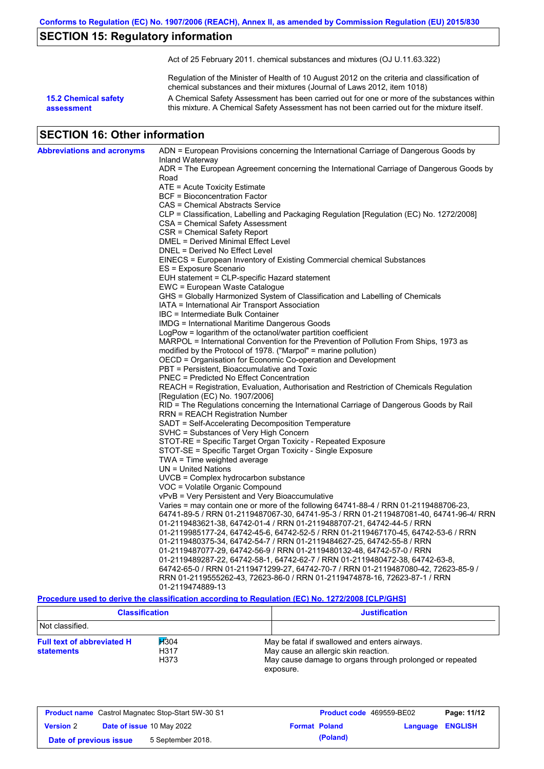## **SECTION 15: Regulatory information**

Act of 25 February 2011. chemical substances and mixtures (OJ U.11.63.322)

Regulation of the Minister of Health of 10 August 2012 on the criteria and classification of chemical substances and their mixtures (Journal of Laws 2012, item 1018)

**15.2 Chemical safety assessment**

A Chemical Safety Assessment has been carried out for one or more of the substances within this mixture. A Chemical Safety Assessment has not been carried out for the mixture itself.

## **SECTION 16: Other information**

| Inland Waterway<br>ADR = The European Agreement concerning the International Carriage of Dangerous Goods by<br>Road<br>ATE = Acute Toxicity Estimate<br><b>BCF</b> = Bioconcentration Factor<br>CAS = Chemical Abstracts Service<br>CLP = Classification, Labelling and Packaging Regulation [Regulation (EC) No. 1272/2008]<br>CSA = Chemical Safety Assessment<br>CSR = Chemical Safety Report<br>DMEL = Derived Minimal Effect Level<br>DNEL = Derived No Effect Level<br>EINECS = European Inventory of Existing Commercial chemical Substances<br>ES = Exposure Scenario<br>EUH statement = CLP-specific Hazard statement<br>EWC = European Waste Catalogue<br>GHS = Globally Harmonized System of Classification and Labelling of Chemicals<br>IATA = International Air Transport Association<br>IBC = Intermediate Bulk Container<br><b>IMDG</b> = International Maritime Dangerous Goods<br>LogPow = logarithm of the octanol/water partition coefficient<br>MARPOL = International Convention for the Prevention of Pollution From Ships, 1973 as<br>modified by the Protocol of 1978. ("Marpol" = marine pollution)<br>OECD = Organisation for Economic Co-operation and Development<br>PBT = Persistent, Bioaccumulative and Toxic<br><b>PNEC = Predicted No Effect Concentration</b><br>REACH = Registration, Evaluation, Authorisation and Restriction of Chemicals Regulation<br>[Regulation (EC) No. 1907/2006]<br>RID = The Regulations concerning the International Carriage of Dangerous Goods by Rail<br>RRN = REACH Registration Number<br>SADT = Self-Accelerating Decomposition Temperature<br>SVHC = Substances of Very High Concern<br>STOT-RE = Specific Target Organ Toxicity - Repeated Exposure<br>STOT-SE = Specific Target Organ Toxicity - Single Exposure<br>$TWA = Time$ weighted average<br>$UN = United Nations$<br>UVCB = Complex hydrocarbon substance<br>VOC = Volatile Organic Compound<br>vPvB = Very Persistent and Very Bioaccumulative<br>Varies = may contain one or more of the following $64741-88-4$ / RRN 01-2119488706-23,<br>64741-89-5 / RRN 01-2119487067-30, 64741-95-3 / RRN 01-2119487081-40, 64741-96-4/ RRN<br>01-2119483621-38, 64742-01-4 / RRN 01-2119488707-21, 64742-44-5 / RRN<br>01-2119985177-24, 64742-45-6, 64742-52-5 / RRN 01-2119467170-45, 64742-53-6 / RRN<br>01-2119480375-34, 64742-54-7 / RRN 01-2119484627-25, 64742-55-8 / RRN<br>01-2119487077-29, 64742-56-9 / RRN 01-2119480132-48, 64742-57-0 / RRN<br>01-2119489287-22, 64742-58-1, 64742-62-7 / RRN 01-2119480472-38, 64742-63-8,<br>64742-65-0 / RRN 01-2119471299-27, 64742-70-7 / RRN 01-2119487080-42, 72623-85-9 /<br>RRN 01-2119555262-43, 72623-86-0 / RRN 01-2119474878-16, 72623-87-1 / RRN<br>01-2119474889-13 | <b>Abbreviations and acronyms</b> | ADN = European Provisions concerning the International Carriage of Dangerous Goods by |
|-------------------------------------------------------------------------------------------------------------------------------------------------------------------------------------------------------------------------------------------------------------------------------------------------------------------------------------------------------------------------------------------------------------------------------------------------------------------------------------------------------------------------------------------------------------------------------------------------------------------------------------------------------------------------------------------------------------------------------------------------------------------------------------------------------------------------------------------------------------------------------------------------------------------------------------------------------------------------------------------------------------------------------------------------------------------------------------------------------------------------------------------------------------------------------------------------------------------------------------------------------------------------------------------------------------------------------------------------------------------------------------------------------------------------------------------------------------------------------------------------------------------------------------------------------------------------------------------------------------------------------------------------------------------------------------------------------------------------------------------------------------------------------------------------------------------------------------------------------------------------------------------------------------------------------------------------------------------------------------------------------------------------------------------------------------------------------------------------------------------------------------------------------------------------------------------------------------------------------------------------------------------------------------------------------------------------------------------------------------------------------------------------------------------------------------------------------------------------------------------------------------------------------------------------------------------------------------------------------------------------------------------------------------------------------------------------------------------------------------------------------------|-----------------------------------|---------------------------------------------------------------------------------------|
|                                                                                                                                                                                                                                                                                                                                                                                                                                                                                                                                                                                                                                                                                                                                                                                                                                                                                                                                                                                                                                                                                                                                                                                                                                                                                                                                                                                                                                                                                                                                                                                                                                                                                                                                                                                                                                                                                                                                                                                                                                                                                                                                                                                                                                                                                                                                                                                                                                                                                                                                                                                                                                                                                                                                                             |                                   |                                                                                       |
|                                                                                                                                                                                                                                                                                                                                                                                                                                                                                                                                                                                                                                                                                                                                                                                                                                                                                                                                                                                                                                                                                                                                                                                                                                                                                                                                                                                                                                                                                                                                                                                                                                                                                                                                                                                                                                                                                                                                                                                                                                                                                                                                                                                                                                                                                                                                                                                                                                                                                                                                                                                                                                                                                                                                                             |                                   |                                                                                       |
|                                                                                                                                                                                                                                                                                                                                                                                                                                                                                                                                                                                                                                                                                                                                                                                                                                                                                                                                                                                                                                                                                                                                                                                                                                                                                                                                                                                                                                                                                                                                                                                                                                                                                                                                                                                                                                                                                                                                                                                                                                                                                                                                                                                                                                                                                                                                                                                                                                                                                                                                                                                                                                                                                                                                                             |                                   |                                                                                       |
|                                                                                                                                                                                                                                                                                                                                                                                                                                                                                                                                                                                                                                                                                                                                                                                                                                                                                                                                                                                                                                                                                                                                                                                                                                                                                                                                                                                                                                                                                                                                                                                                                                                                                                                                                                                                                                                                                                                                                                                                                                                                                                                                                                                                                                                                                                                                                                                                                                                                                                                                                                                                                                                                                                                                                             |                                   |                                                                                       |
|                                                                                                                                                                                                                                                                                                                                                                                                                                                                                                                                                                                                                                                                                                                                                                                                                                                                                                                                                                                                                                                                                                                                                                                                                                                                                                                                                                                                                                                                                                                                                                                                                                                                                                                                                                                                                                                                                                                                                                                                                                                                                                                                                                                                                                                                                                                                                                                                                                                                                                                                                                                                                                                                                                                                                             |                                   |                                                                                       |
|                                                                                                                                                                                                                                                                                                                                                                                                                                                                                                                                                                                                                                                                                                                                                                                                                                                                                                                                                                                                                                                                                                                                                                                                                                                                                                                                                                                                                                                                                                                                                                                                                                                                                                                                                                                                                                                                                                                                                                                                                                                                                                                                                                                                                                                                                                                                                                                                                                                                                                                                                                                                                                                                                                                                                             |                                   |                                                                                       |
|                                                                                                                                                                                                                                                                                                                                                                                                                                                                                                                                                                                                                                                                                                                                                                                                                                                                                                                                                                                                                                                                                                                                                                                                                                                                                                                                                                                                                                                                                                                                                                                                                                                                                                                                                                                                                                                                                                                                                                                                                                                                                                                                                                                                                                                                                                                                                                                                                                                                                                                                                                                                                                                                                                                                                             |                                   |                                                                                       |
|                                                                                                                                                                                                                                                                                                                                                                                                                                                                                                                                                                                                                                                                                                                                                                                                                                                                                                                                                                                                                                                                                                                                                                                                                                                                                                                                                                                                                                                                                                                                                                                                                                                                                                                                                                                                                                                                                                                                                                                                                                                                                                                                                                                                                                                                                                                                                                                                                                                                                                                                                                                                                                                                                                                                                             |                                   |                                                                                       |
|                                                                                                                                                                                                                                                                                                                                                                                                                                                                                                                                                                                                                                                                                                                                                                                                                                                                                                                                                                                                                                                                                                                                                                                                                                                                                                                                                                                                                                                                                                                                                                                                                                                                                                                                                                                                                                                                                                                                                                                                                                                                                                                                                                                                                                                                                                                                                                                                                                                                                                                                                                                                                                                                                                                                                             |                                   |                                                                                       |
|                                                                                                                                                                                                                                                                                                                                                                                                                                                                                                                                                                                                                                                                                                                                                                                                                                                                                                                                                                                                                                                                                                                                                                                                                                                                                                                                                                                                                                                                                                                                                                                                                                                                                                                                                                                                                                                                                                                                                                                                                                                                                                                                                                                                                                                                                                                                                                                                                                                                                                                                                                                                                                                                                                                                                             |                                   |                                                                                       |
|                                                                                                                                                                                                                                                                                                                                                                                                                                                                                                                                                                                                                                                                                                                                                                                                                                                                                                                                                                                                                                                                                                                                                                                                                                                                                                                                                                                                                                                                                                                                                                                                                                                                                                                                                                                                                                                                                                                                                                                                                                                                                                                                                                                                                                                                                                                                                                                                                                                                                                                                                                                                                                                                                                                                                             |                                   |                                                                                       |
|                                                                                                                                                                                                                                                                                                                                                                                                                                                                                                                                                                                                                                                                                                                                                                                                                                                                                                                                                                                                                                                                                                                                                                                                                                                                                                                                                                                                                                                                                                                                                                                                                                                                                                                                                                                                                                                                                                                                                                                                                                                                                                                                                                                                                                                                                                                                                                                                                                                                                                                                                                                                                                                                                                                                                             |                                   |                                                                                       |
|                                                                                                                                                                                                                                                                                                                                                                                                                                                                                                                                                                                                                                                                                                                                                                                                                                                                                                                                                                                                                                                                                                                                                                                                                                                                                                                                                                                                                                                                                                                                                                                                                                                                                                                                                                                                                                                                                                                                                                                                                                                                                                                                                                                                                                                                                                                                                                                                                                                                                                                                                                                                                                                                                                                                                             |                                   |                                                                                       |
|                                                                                                                                                                                                                                                                                                                                                                                                                                                                                                                                                                                                                                                                                                                                                                                                                                                                                                                                                                                                                                                                                                                                                                                                                                                                                                                                                                                                                                                                                                                                                                                                                                                                                                                                                                                                                                                                                                                                                                                                                                                                                                                                                                                                                                                                                                                                                                                                                                                                                                                                                                                                                                                                                                                                                             |                                   |                                                                                       |
|                                                                                                                                                                                                                                                                                                                                                                                                                                                                                                                                                                                                                                                                                                                                                                                                                                                                                                                                                                                                                                                                                                                                                                                                                                                                                                                                                                                                                                                                                                                                                                                                                                                                                                                                                                                                                                                                                                                                                                                                                                                                                                                                                                                                                                                                                                                                                                                                                                                                                                                                                                                                                                                                                                                                                             |                                   |                                                                                       |
|                                                                                                                                                                                                                                                                                                                                                                                                                                                                                                                                                                                                                                                                                                                                                                                                                                                                                                                                                                                                                                                                                                                                                                                                                                                                                                                                                                                                                                                                                                                                                                                                                                                                                                                                                                                                                                                                                                                                                                                                                                                                                                                                                                                                                                                                                                                                                                                                                                                                                                                                                                                                                                                                                                                                                             |                                   |                                                                                       |
|                                                                                                                                                                                                                                                                                                                                                                                                                                                                                                                                                                                                                                                                                                                                                                                                                                                                                                                                                                                                                                                                                                                                                                                                                                                                                                                                                                                                                                                                                                                                                                                                                                                                                                                                                                                                                                                                                                                                                                                                                                                                                                                                                                                                                                                                                                                                                                                                                                                                                                                                                                                                                                                                                                                                                             |                                   |                                                                                       |
|                                                                                                                                                                                                                                                                                                                                                                                                                                                                                                                                                                                                                                                                                                                                                                                                                                                                                                                                                                                                                                                                                                                                                                                                                                                                                                                                                                                                                                                                                                                                                                                                                                                                                                                                                                                                                                                                                                                                                                                                                                                                                                                                                                                                                                                                                                                                                                                                                                                                                                                                                                                                                                                                                                                                                             |                                   |                                                                                       |
|                                                                                                                                                                                                                                                                                                                                                                                                                                                                                                                                                                                                                                                                                                                                                                                                                                                                                                                                                                                                                                                                                                                                                                                                                                                                                                                                                                                                                                                                                                                                                                                                                                                                                                                                                                                                                                                                                                                                                                                                                                                                                                                                                                                                                                                                                                                                                                                                                                                                                                                                                                                                                                                                                                                                                             |                                   |                                                                                       |
|                                                                                                                                                                                                                                                                                                                                                                                                                                                                                                                                                                                                                                                                                                                                                                                                                                                                                                                                                                                                                                                                                                                                                                                                                                                                                                                                                                                                                                                                                                                                                                                                                                                                                                                                                                                                                                                                                                                                                                                                                                                                                                                                                                                                                                                                                                                                                                                                                                                                                                                                                                                                                                                                                                                                                             |                                   |                                                                                       |
|                                                                                                                                                                                                                                                                                                                                                                                                                                                                                                                                                                                                                                                                                                                                                                                                                                                                                                                                                                                                                                                                                                                                                                                                                                                                                                                                                                                                                                                                                                                                                                                                                                                                                                                                                                                                                                                                                                                                                                                                                                                                                                                                                                                                                                                                                                                                                                                                                                                                                                                                                                                                                                                                                                                                                             |                                   |                                                                                       |
|                                                                                                                                                                                                                                                                                                                                                                                                                                                                                                                                                                                                                                                                                                                                                                                                                                                                                                                                                                                                                                                                                                                                                                                                                                                                                                                                                                                                                                                                                                                                                                                                                                                                                                                                                                                                                                                                                                                                                                                                                                                                                                                                                                                                                                                                                                                                                                                                                                                                                                                                                                                                                                                                                                                                                             |                                   |                                                                                       |
|                                                                                                                                                                                                                                                                                                                                                                                                                                                                                                                                                                                                                                                                                                                                                                                                                                                                                                                                                                                                                                                                                                                                                                                                                                                                                                                                                                                                                                                                                                                                                                                                                                                                                                                                                                                                                                                                                                                                                                                                                                                                                                                                                                                                                                                                                                                                                                                                                                                                                                                                                                                                                                                                                                                                                             |                                   |                                                                                       |
|                                                                                                                                                                                                                                                                                                                                                                                                                                                                                                                                                                                                                                                                                                                                                                                                                                                                                                                                                                                                                                                                                                                                                                                                                                                                                                                                                                                                                                                                                                                                                                                                                                                                                                                                                                                                                                                                                                                                                                                                                                                                                                                                                                                                                                                                                                                                                                                                                                                                                                                                                                                                                                                                                                                                                             |                                   |                                                                                       |
|                                                                                                                                                                                                                                                                                                                                                                                                                                                                                                                                                                                                                                                                                                                                                                                                                                                                                                                                                                                                                                                                                                                                                                                                                                                                                                                                                                                                                                                                                                                                                                                                                                                                                                                                                                                                                                                                                                                                                                                                                                                                                                                                                                                                                                                                                                                                                                                                                                                                                                                                                                                                                                                                                                                                                             |                                   |                                                                                       |
|                                                                                                                                                                                                                                                                                                                                                                                                                                                                                                                                                                                                                                                                                                                                                                                                                                                                                                                                                                                                                                                                                                                                                                                                                                                                                                                                                                                                                                                                                                                                                                                                                                                                                                                                                                                                                                                                                                                                                                                                                                                                                                                                                                                                                                                                                                                                                                                                                                                                                                                                                                                                                                                                                                                                                             |                                   |                                                                                       |
|                                                                                                                                                                                                                                                                                                                                                                                                                                                                                                                                                                                                                                                                                                                                                                                                                                                                                                                                                                                                                                                                                                                                                                                                                                                                                                                                                                                                                                                                                                                                                                                                                                                                                                                                                                                                                                                                                                                                                                                                                                                                                                                                                                                                                                                                                                                                                                                                                                                                                                                                                                                                                                                                                                                                                             |                                   |                                                                                       |
|                                                                                                                                                                                                                                                                                                                                                                                                                                                                                                                                                                                                                                                                                                                                                                                                                                                                                                                                                                                                                                                                                                                                                                                                                                                                                                                                                                                                                                                                                                                                                                                                                                                                                                                                                                                                                                                                                                                                                                                                                                                                                                                                                                                                                                                                                                                                                                                                                                                                                                                                                                                                                                                                                                                                                             |                                   |                                                                                       |
|                                                                                                                                                                                                                                                                                                                                                                                                                                                                                                                                                                                                                                                                                                                                                                                                                                                                                                                                                                                                                                                                                                                                                                                                                                                                                                                                                                                                                                                                                                                                                                                                                                                                                                                                                                                                                                                                                                                                                                                                                                                                                                                                                                                                                                                                                                                                                                                                                                                                                                                                                                                                                                                                                                                                                             |                                   |                                                                                       |
|                                                                                                                                                                                                                                                                                                                                                                                                                                                                                                                                                                                                                                                                                                                                                                                                                                                                                                                                                                                                                                                                                                                                                                                                                                                                                                                                                                                                                                                                                                                                                                                                                                                                                                                                                                                                                                                                                                                                                                                                                                                                                                                                                                                                                                                                                                                                                                                                                                                                                                                                                                                                                                                                                                                                                             |                                   |                                                                                       |
|                                                                                                                                                                                                                                                                                                                                                                                                                                                                                                                                                                                                                                                                                                                                                                                                                                                                                                                                                                                                                                                                                                                                                                                                                                                                                                                                                                                                                                                                                                                                                                                                                                                                                                                                                                                                                                                                                                                                                                                                                                                                                                                                                                                                                                                                                                                                                                                                                                                                                                                                                                                                                                                                                                                                                             |                                   |                                                                                       |
|                                                                                                                                                                                                                                                                                                                                                                                                                                                                                                                                                                                                                                                                                                                                                                                                                                                                                                                                                                                                                                                                                                                                                                                                                                                                                                                                                                                                                                                                                                                                                                                                                                                                                                                                                                                                                                                                                                                                                                                                                                                                                                                                                                                                                                                                                                                                                                                                                                                                                                                                                                                                                                                                                                                                                             |                                   |                                                                                       |
|                                                                                                                                                                                                                                                                                                                                                                                                                                                                                                                                                                                                                                                                                                                                                                                                                                                                                                                                                                                                                                                                                                                                                                                                                                                                                                                                                                                                                                                                                                                                                                                                                                                                                                                                                                                                                                                                                                                                                                                                                                                                                                                                                                                                                                                                                                                                                                                                                                                                                                                                                                                                                                                                                                                                                             |                                   |                                                                                       |
|                                                                                                                                                                                                                                                                                                                                                                                                                                                                                                                                                                                                                                                                                                                                                                                                                                                                                                                                                                                                                                                                                                                                                                                                                                                                                                                                                                                                                                                                                                                                                                                                                                                                                                                                                                                                                                                                                                                                                                                                                                                                                                                                                                                                                                                                                                                                                                                                                                                                                                                                                                                                                                                                                                                                                             |                                   |                                                                                       |
|                                                                                                                                                                                                                                                                                                                                                                                                                                                                                                                                                                                                                                                                                                                                                                                                                                                                                                                                                                                                                                                                                                                                                                                                                                                                                                                                                                                                                                                                                                                                                                                                                                                                                                                                                                                                                                                                                                                                                                                                                                                                                                                                                                                                                                                                                                                                                                                                                                                                                                                                                                                                                                                                                                                                                             |                                   |                                                                                       |
|                                                                                                                                                                                                                                                                                                                                                                                                                                                                                                                                                                                                                                                                                                                                                                                                                                                                                                                                                                                                                                                                                                                                                                                                                                                                                                                                                                                                                                                                                                                                                                                                                                                                                                                                                                                                                                                                                                                                                                                                                                                                                                                                                                                                                                                                                                                                                                                                                                                                                                                                                                                                                                                                                                                                                             |                                   |                                                                                       |
|                                                                                                                                                                                                                                                                                                                                                                                                                                                                                                                                                                                                                                                                                                                                                                                                                                                                                                                                                                                                                                                                                                                                                                                                                                                                                                                                                                                                                                                                                                                                                                                                                                                                                                                                                                                                                                                                                                                                                                                                                                                                                                                                                                                                                                                                                                                                                                                                                                                                                                                                                                                                                                                                                                                                                             |                                   |                                                                                       |
|                                                                                                                                                                                                                                                                                                                                                                                                                                                                                                                                                                                                                                                                                                                                                                                                                                                                                                                                                                                                                                                                                                                                                                                                                                                                                                                                                                                                                                                                                                                                                                                                                                                                                                                                                                                                                                                                                                                                                                                                                                                                                                                                                                                                                                                                                                                                                                                                                                                                                                                                                                                                                                                                                                                                                             |                                   |                                                                                       |
|                                                                                                                                                                                                                                                                                                                                                                                                                                                                                                                                                                                                                                                                                                                                                                                                                                                                                                                                                                                                                                                                                                                                                                                                                                                                                                                                                                                                                                                                                                                                                                                                                                                                                                                                                                                                                                                                                                                                                                                                                                                                                                                                                                                                                                                                                                                                                                                                                                                                                                                                                                                                                                                                                                                                                             |                                   |                                                                                       |
|                                                                                                                                                                                                                                                                                                                                                                                                                                                                                                                                                                                                                                                                                                                                                                                                                                                                                                                                                                                                                                                                                                                                                                                                                                                                                                                                                                                                                                                                                                                                                                                                                                                                                                                                                                                                                                                                                                                                                                                                                                                                                                                                                                                                                                                                                                                                                                                                                                                                                                                                                                                                                                                                                                                                                             |                                   |                                                                                       |
|                                                                                                                                                                                                                                                                                                                                                                                                                                                                                                                                                                                                                                                                                                                                                                                                                                                                                                                                                                                                                                                                                                                                                                                                                                                                                                                                                                                                                                                                                                                                                                                                                                                                                                                                                                                                                                                                                                                                                                                                                                                                                                                                                                                                                                                                                                                                                                                                                                                                                                                                                                                                                                                                                                                                                             |                                   |                                                                                       |
|                                                                                                                                                                                                                                                                                                                                                                                                                                                                                                                                                                                                                                                                                                                                                                                                                                                                                                                                                                                                                                                                                                                                                                                                                                                                                                                                                                                                                                                                                                                                                                                                                                                                                                                                                                                                                                                                                                                                                                                                                                                                                                                                                                                                                                                                                                                                                                                                                                                                                                                                                                                                                                                                                                                                                             |                                   |                                                                                       |
|                                                                                                                                                                                                                                                                                                                                                                                                                                                                                                                                                                                                                                                                                                                                                                                                                                                                                                                                                                                                                                                                                                                                                                                                                                                                                                                                                                                                                                                                                                                                                                                                                                                                                                                                                                                                                                                                                                                                                                                                                                                                                                                                                                                                                                                                                                                                                                                                                                                                                                                                                                                                                                                                                                                                                             |                                   |                                                                                       |
|                                                                                                                                                                                                                                                                                                                                                                                                                                                                                                                                                                                                                                                                                                                                                                                                                                                                                                                                                                                                                                                                                                                                                                                                                                                                                                                                                                                                                                                                                                                                                                                                                                                                                                                                                                                                                                                                                                                                                                                                                                                                                                                                                                                                                                                                                                                                                                                                                                                                                                                                                                                                                                                                                                                                                             |                                   |                                                                                       |
|                                                                                                                                                                                                                                                                                                                                                                                                                                                                                                                                                                                                                                                                                                                                                                                                                                                                                                                                                                                                                                                                                                                                                                                                                                                                                                                                                                                                                                                                                                                                                                                                                                                                                                                                                                                                                                                                                                                                                                                                                                                                                                                                                                                                                                                                                                                                                                                                                                                                                                                                                                                                                                                                                                                                                             |                                   |                                                                                       |
|                                                                                                                                                                                                                                                                                                                                                                                                                                                                                                                                                                                                                                                                                                                                                                                                                                                                                                                                                                                                                                                                                                                                                                                                                                                                                                                                                                                                                                                                                                                                                                                                                                                                                                                                                                                                                                                                                                                                                                                                                                                                                                                                                                                                                                                                                                                                                                                                                                                                                                                                                                                                                                                                                                                                                             |                                   |                                                                                       |

## **Procedure used to derive the classification according to Regulation (EC) No. 1272/2008 [CLP/GHS]**

| <b>Classification</b>                                  |                      | <b>Justification</b>                                                                                                                                           |
|--------------------------------------------------------|----------------------|----------------------------------------------------------------------------------------------------------------------------------------------------------------|
| Not classified.                                        |                      |                                                                                                                                                                |
| <b>Full text of abbreviated H</b><br><b>statements</b> | H304<br>H317<br>H373 | May be fatal if swallowed and enters airways.<br>May cause an allergic skin reaction.<br>May cause damage to organs through prolonged or repeated<br>exposure. |

| <b>Product name</b> Castrol Magnatec Stop-Start 5W-30 S1 |  | <b>Product code</b> 469559-BE02  |  | Page: 11/12          |                         |  |
|----------------------------------------------------------|--|----------------------------------|--|----------------------|-------------------------|--|
| <b>Version 2</b>                                         |  | <b>Date of issue 10 May 2022</b> |  | <b>Format Poland</b> | <b>Language ENGLISH</b> |  |
| Date of previous issue                                   |  | 5 September 2018.                |  | (Poland)             |                         |  |